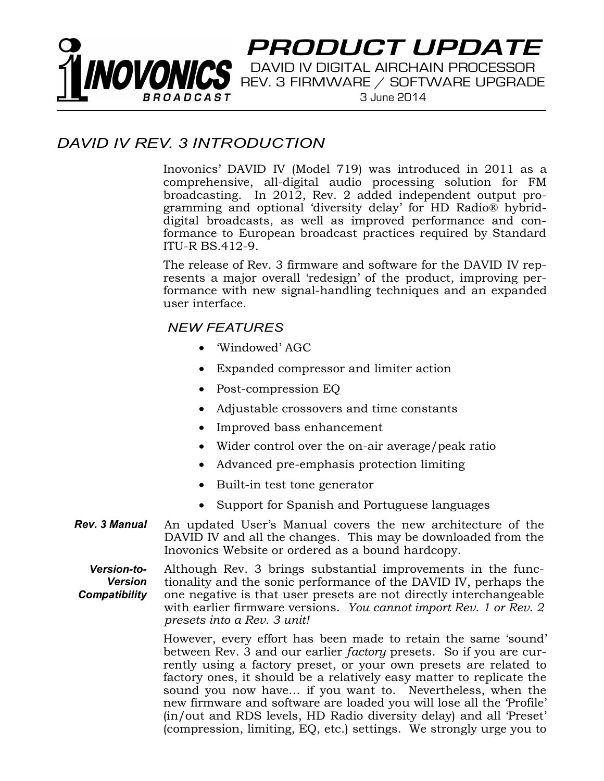# PRODUCT UPDATE VOVONICS DAVID IV DIGITAL AIRCHAIN PROCESSOR

3 June 2014

## DAVID IV REV. 3 INTRODUCTION

Inovonics' DAVID IV (Model 719) was introduced in 2011 as a comprehensive, all-digital audio processing solution for FM broadcasting. In 2012, Rev. 2 added independent output programming and optional 'diversity delay' for HD Radio® hybriddigital broadcasts, as well as improved performance and conformance to European broadcast practices required by Standard **ITU-R BS.412-9.** 

The release of Rev. 3 firmware and software for the DAVID IV represents a major overall 'redesign' of the product, improving performance with new signal-handling techniques and an expanded user interface.

#### **NEW FEATURES**

- Windowed' AGC
- Expanded compressor and limiter action
- Post-compression EQ
- Adjustable crossovers and time constants
- Improved bass enhancement
- Wider control over the on-air average/peak ratio
- Advanced pre-emphasis protection limiting
- Built-in test tone generator
- Support for Spanish and Portuguese languages
- **Rev. 3 Manual** An updated User's Manual covers the new architecture of the DAVID IV and all the changes. This may be downloaded from the Inovonics Website or ordered as a bound hardcopy.

**Version-to-**Although Rev. 3 brings substantial improvements in the func-**Version** tionality and the sonic performance of the DAVID IV, perhaps the one negative is that user presets are not directly interchangeable Compatibility with earlier firmware versions. You cannot import Rev. 1 or Rev. 2 presets into a Rev. 3 unit!

> However, every effort has been made to retain the same 'sound' between Rev. 3 and our earlier factory presets. So if you are currently using a factory preset, or your own presets are related to factory ones, it should be a relatively easy matter to replicate the sound you now have... if you want to. Nevertheless, when the new firmware and software are loaded you will lose all the 'Profile' (in/out and RDS levels, HD Radio diversity delay) and all 'Preset' (compression, limiting, EQ, etc.) settings. We strongly urge you to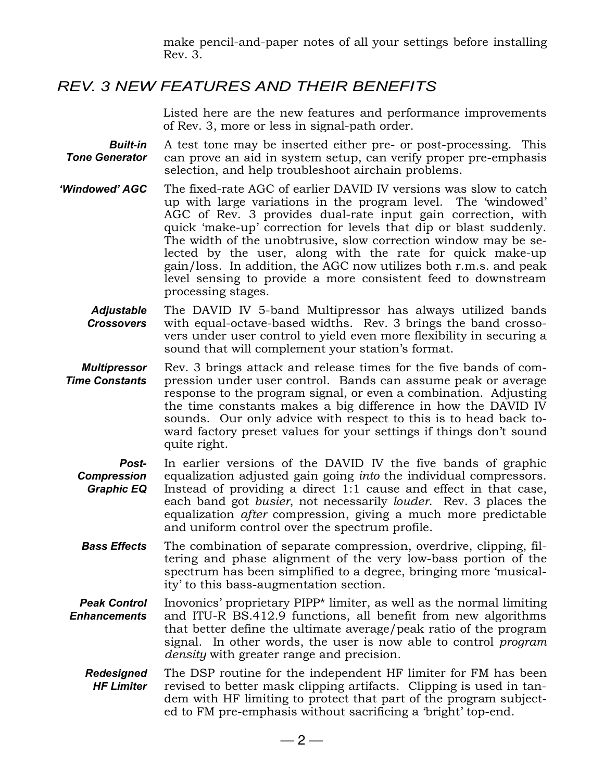make pencil-and-paper notes of all your settings before installing Rev. 3.

## **REV. 3 NEW FEATURES AND THEIR BENEFITS**

Listed here are the new features and performance improvements of Rev. 3, more or less in signal-path order.

- A test tone may be inserted either pre- or post-processing. This **Built-in Tone Generator** can prove an aid in system setup, can verify proper pre-emphasis selection, and help troubleshoot airchain problems.
- 'Windowed' AGC The fixed-rate AGC of earlier DAVID IV versions was slow to catch up with large variations in the program level. The 'windowed' AGC of Rev. 3 provides dual-rate input gain correction, with quick 'make-up' correction for levels that dip or blast suddenly. The width of the unobtrusive, slow correction window may be selected by the user, along with the rate for quick make-up gain/loss. In addition, the AGC now utilizes both r.m.s. and peak level sensing to provide a more consistent feed to downstream processing stages.
	- **Adjustable** The DAVID IV 5-band Multipressor has always utilized bands **Crossovers** with equal-octave-based widths. Rev. 3 brings the band crossovers under user control to yield even more flexibility in securing a sound that will complement your station's format.
- **Multipressor** Rev. 3 brings attack and release times for the five bands of com-**Time Constants** pression under user control. Bands can assume peak or average response to the program signal, or even a combination. Adjusting the time constants makes a big difference in how the DAVID IV sounds. Our only advice with respect to this is to head back toward factory preset values for your settings if things don't sound quite right.
	- In earlier versions of the DAVID IV the five bands of graphic Postequalization adjusted gain going *into* the individual compressors. **Compression Graphic EQ** Instead of providing a direct 1:1 cause and effect in that case, each band got busier, not necessarily louder. Rev. 3 places the equalization *after* compression, giving a much more predictable and uniform control over the spectrum profile.
	- The combination of separate compression, overdrive, clipping, fil-**Bass Effects** tering and phase alignment of the very low-bass portion of the spectrum has been simplified to a degree, bringing more 'musicality' to this bass-augmentation section.
- **Peak Control** Inovonics' proprietary PIPP\* limiter, as well as the normal limiting and ITU-R BS.412.9 functions, all benefit from new algorithms **Enhancements** that better define the ultimate average/peak ratio of the program signal. In other words, the user is now able to control *program density* with greater range and precision.
	- **Redesigned** The DSP routine for the independent HF limiter for FM has been **HF Limiter** revised to better mask clipping artifacts. Clipping is used in tandem with HF limiting to protect that part of the program subjected to FM pre-emphasis without sacrificing a 'bright' top-end.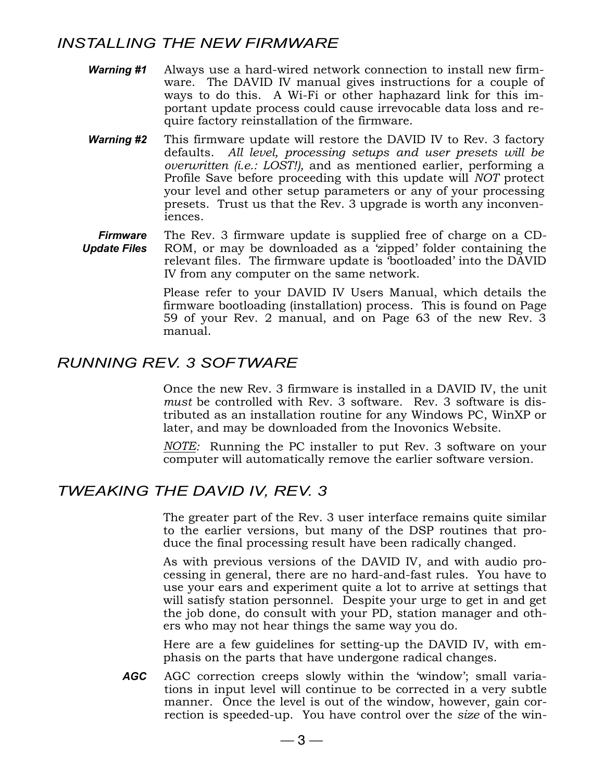## **INSTALLING THE NEW FIRMWARE**

- **Warning #1** Always use a hard-wired network connection to install new firmware. The DAVID IV manual gives instructions for a couple of ways to do this. A Wi-Fi or other haphazard link for this important update process could cause irrevocable data loss and require factory reinstallation of the firmware.
- **Warning #2** This firmware update will restore the DAVID IV to Rev. 3 factory defaults. All level, processing setups and user presets will be *overwritten (i.e.: LOST!)*, and as mentioned earlier, performing a Profile Save before proceeding with this update will NOT protect your level and other setup parameters or any of your processing presets. Trust us that the Rev. 3 upgrade is worth any inconveniences.
- The Rev. 3 firmware update is supplied free of charge on a CD-**Firmware Update Files** ROM, or may be downloaded as a 'zipped' folder containing the relevant files. The firmware update is 'bootloaded' into the DAVID IV from any computer on the same network.

Please refer to your DAVID IV Users Manual, which details the firmware bootloading (installation) process. This is found on Page 59 of your Rev. 2 manual, and on Page 63 of the new Rev. 3 manual.

## **RUNNING REV. 3 SOFTWARE**

Once the new Rev. 3 firmware is installed in a DAVID IV, the unit must be controlled with Rev. 3 software. Rev. 3 software is distributed as an installation routine for any Windows PC, WinXP or later, and may be downloaded from the Inovonics Website.

*NOTE:* Running the PC installer to put Rev. 3 software on your computer will automatically remove the earlier software version.

## TWEAKING THE DAVID IV, REV. 3

The greater part of the Rev. 3 user interface remains quite similar to the earlier versions, but many of the DSP routines that produce the final processing result have been radically changed.

As with previous versions of the DAVID IV, and with audio processing in general, there are no hard-and-fast rules. You have to use your ears and experiment quite a lot to arrive at settings that will satisfy station personnel. Despite your urge to get in and get the job done, do consult with your PD, station manager and others who may not hear things the same way you do.

Here are a few guidelines for setting-up the DAVID IV, with emphasis on the parts that have undergone radical changes.

AGC AGC correction creeps slowly within the 'window'; small variations in input level will continue to be corrected in a very subtle manner. Once the level is out of the window, however, gain correction is speeded-up. You have control over the size of the win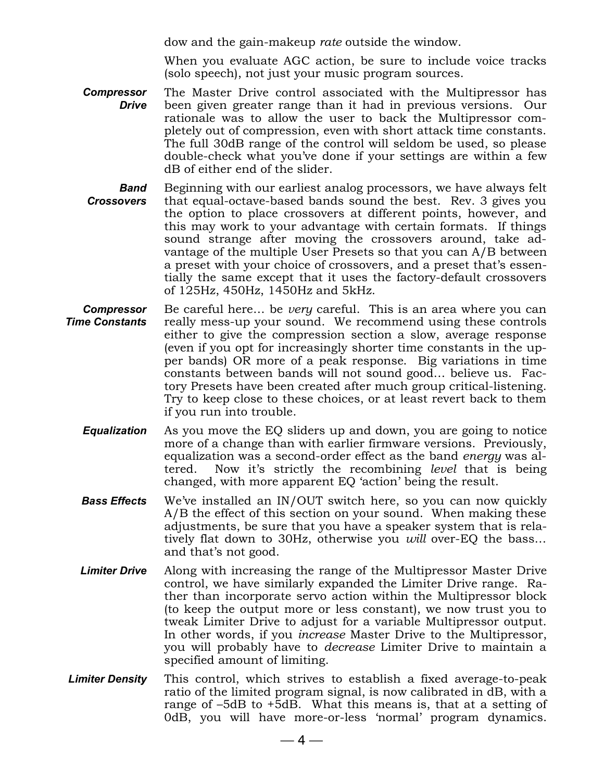dow and the gain-makeup rate outside the window.

When you evaluate AGC action, be sure to include voice tracks (solo speech), not just your music program sources.

- **Compressor** The Master Drive control associated with the Multipressor has **Drive** been given greater range than it had in previous versions. Our rationale was to allow the user to back the Multipressor completely out of compression, even with short attack time constants. The full 30dB range of the control will seldom be used, so please double-check what you've done if your settings are within a few dB of either end of the slider.
- Beginning with our earliest analog processors, we have always felt **Band Crossovers** that equal-octave-based bands sound the best. Rev. 3 gives you the option to place crossovers at different points, however, and this may work to your advantage with certain formats. If things sound strange after moving the crossovers around, take advantage of the multiple User Presets so that you can A/B between a preset with your choice of crossovers, and a preset that's essentially the same except that it uses the factory-default crossovers of 125Hz, 450Hz, 1450Hz and 5kHz.
- Be careful here... be *very* careful. This is an area where you can **Compressor** really mess-up your sound. We recommend using these controls **Time Constants** either to give the compression section a slow, average response (even if you opt for increasingly shorter time constants in the upper bands) OR more of a peak response. Big variations in time constants between bands will not sound good... believe us. Factory Presets have been created after much group critical-listening. Try to keep close to these choices, or at least revert back to them if you run into trouble.
	- As you move the EQ sliders up and down, you are going to notice **Equalization** more of a change than with earlier firmware versions. Previously, equalization was a second-order effect as the band *energy* was altered. Now it's strictly the recombining *level* that is being changed, with more apparent EQ 'action' being the result.
	- **Bass Effects** We've installed an IN/OUT switch here, so you can now quickly A/B the effect of this section on your sound. When making these adjustments, be sure that you have a speaker system that is relatively flat down to 30Hz, otherwise you *will* over-EQ the bass... and that's not good.
	- **Limiter Drive** Along with increasing the range of the Multipressor Master Drive control, we have similarly expanded the Limiter Drive range. Rather than incorporate servo action within the Multipressor block (to keep the output more or less constant), we now trust you to tweak Limiter Drive to adjust for a variable Multipressor output. In other words, if you *increase* Master Drive to the Multipressor, you will probably have to *decrease* Limiter Drive to maintain a specified amount of limiting.
- This control, which strives to establish a fixed average-to-peak **Limiter Density** ratio of the limited program signal, is now calibrated in dB, with a range of -5dB to +5dB. What this means is, that at a setting of OdB, you will have more-or-less 'normal' program dynamics.